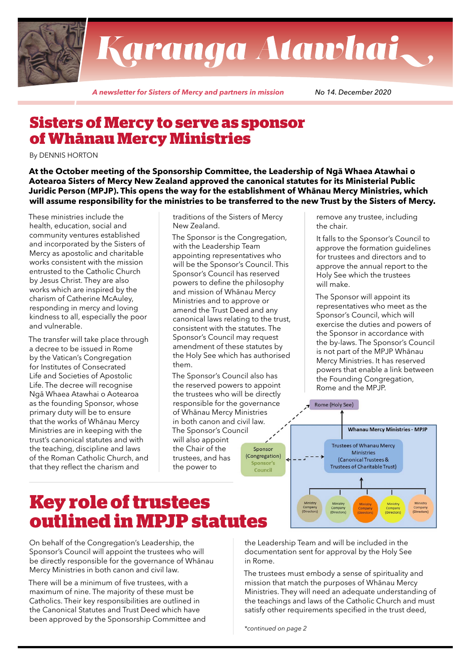

# Karanga Atawhai,,

*A newsletter for Sisters of Mercy and partners in mission No 14. December 2020*

#### **Sisters of Mercy to serve as sponsor of Whānau Mercy Ministries**

By DENNIS HORTON

**At the October meeting of the Sponsorship Committee, the Leadership of Ngā Whaea Atawhai o Aotearoa Sisters of Mercy New Zealand approved the canonical statutes for its Ministerial Public Juridic Person (MPJP). This opens the way for the establishment of Whānau Mercy Ministries, which will assume responsibility for the ministries to be transferred to the new Trust by the Sisters of Mercy.** 

These ministries include the health, education, social and community ventures established and incorporated by the Sisters of Mercy as apostolic and charitable works consistent with the mission entrusted to the Catholic Church by Jesus Christ. They are also works which are inspired by the charism of Catherine McAuley, responding in mercy and loving kindness to all, especially the poor and vulnerable.

The transfer will take place through a decree to be issued in Rome by the Vatican's Congregation for Institutes of Consecrated Life and Societies of Apostolic Life. The decree will recognise Ngā Whaea Atawhai o Aotearoa as the founding Sponsor, whose primary duty will be to ensure that the works of Whānau Mercy Ministries are in keeping with the trust's canonical statutes and with the teaching, discipline and laws of the Roman Catholic Church, and that they reflect the charism and

traditions of the Sisters of Mercy New Zealand.

The Sponsor is the Congregation, with the Leadership Team appointing representatives who will be the Sponsor's Council. This Sponsor's Council has reserved powers to define the philosophy and mission of Whānau Mercy Ministries and to approve or amend the Trust Deed and any canonical laws relating to the trust, consistent with the statutes. The Sponsor's Council may request amendment of these statutes by the Holy See which has authorised them.

The Sponsor's Council also has the reserved powers to appoint the trustees who will be directly responsible for the governance of Whānau Mercy Ministries in both canon and civil law. The Sponsor's Council will also appoint the Chair of the Sponsor (Congregation) trustees, and has Sponsor's the power to Council

remove any trustee, including the chair.

It falls to the Sponsor's Council to approve the formation quidelines for trustees and directors and to approve the annual report to the Holy See which the trustees will make.

The Sponsor will appoint its representatives who meet as the Sponsor's Council, which will exercise the duties and powers of the Sponsor in accordance with the by-laws. The Sponsor's Council is not part of the MPJP Whānau Mercy Ministries. It has reserved powers that enable a link between the Founding Congregation, Rome and the MPJP.



# **Key role of trustees outlined in MPJP statutes**

On behalf of the Congregation's Leadership, the Sponsor's Council will appoint the trustees who will be directly responsible for the governance of Whānau Mercy Ministries in both canon and civil law.

There will be a minimum of five trustees, with a maximum of nine. The majority of these must be Catholics. Their key responsibilities are outlined in the Canonical Statutes and Trust Deed which have been approved by the Sponsorship Committee and the Leadership Team and will be included in the documentation sent for approval by the Holy See in Rome.

The trustees must embody a sense of spirituality and mission that match the purposes of Whānau Mercy Ministries. They will need an adequate understanding of the teachings and laws of the Catholic Church and must satisfy other requirements specified in the trust deed,

*\*continued on page 2*